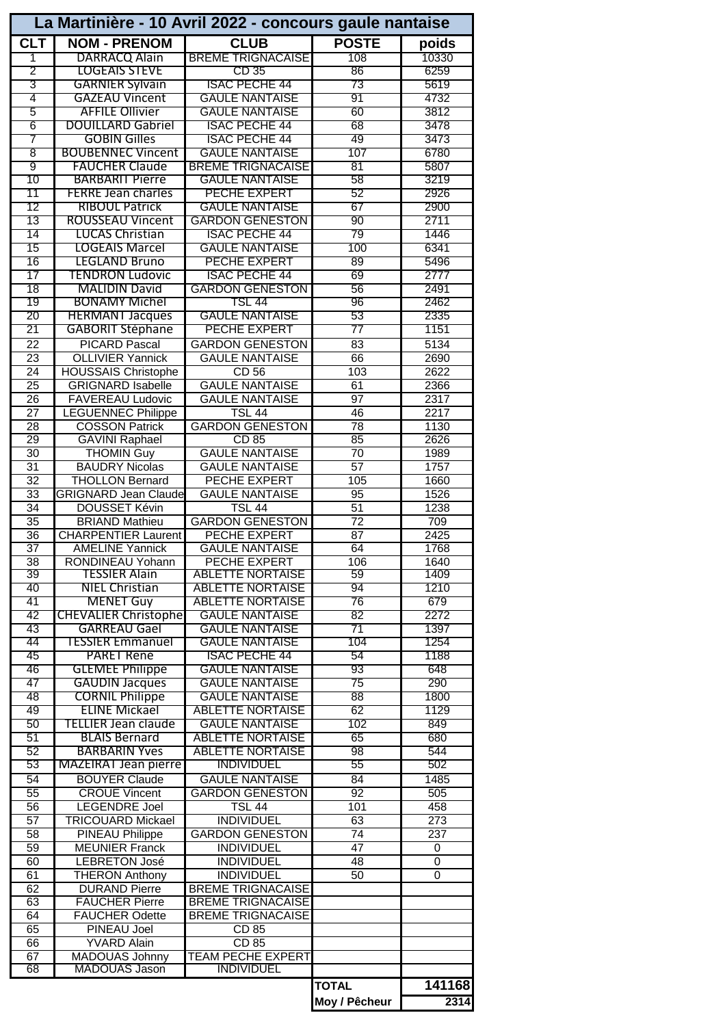| La Martinière - 10 Avril 2022 - concours gaule nantaise |                                                   |                                                |                       |                  |  |  |  |  |
|---------------------------------------------------------|---------------------------------------------------|------------------------------------------------|-----------------------|------------------|--|--|--|--|
| <b>CLT</b>                                              | <b>NOM - PRENOM</b>                               | <b>CLUB</b>                                    | <b>POSTE</b>          | poids            |  |  |  |  |
| 1                                                       | DARRACQ Alain                                     | <b>BREME TRIGNACAISE</b>                       | 108                   | 10330            |  |  |  |  |
| $\overline{2}$                                          | <b>LOGEAIS STEVE</b>                              | CD 35                                          | 86                    | 6259             |  |  |  |  |
| $\overline{3}$                                          | <b>GARNIER Sylvain</b>                            | <b>ISAC PECHE 44</b>                           | 73                    | 5619             |  |  |  |  |
| 4                                                       | <b>GAZEAU Vincent</b>                             | <b>GAULE NANTAISE</b>                          | 91                    | 4732             |  |  |  |  |
| $\overline{5}$                                          | <b>AFFILE Ollivier</b>                            | <b>GAULE NANTAISE</b>                          | 60                    | 3812             |  |  |  |  |
| $\overline{6}$<br>7                                     | <b>DOUILLARD Gabriel</b><br><b>GOBIN Gilles</b>   | <b>ISAC PECHE 44</b><br><b>ISAC PECHE 44</b>   | 68<br>49              | 3478<br>3473     |  |  |  |  |
| 8                                                       | <b>BOUBENNEC Vincent</b>                          | <b>GAULE NANTAISE</b>                          | 107                   | 6780             |  |  |  |  |
| ॺ                                                       | <b>FAUCHER Claude</b>                             | <b>BREME TRIGNACAISE</b>                       | 81                    | 5807             |  |  |  |  |
| 10                                                      | <b>BARBARIT Pierre</b>                            | <b>GAULE NANTAISE</b>                          | 58                    | 3219             |  |  |  |  |
| 11                                                      | <b>FERRE Jean charles</b>                         | PECHE EXPERT                                   | 52                    | 2926             |  |  |  |  |
| 12                                                      | <b>RIBOUL Patrick</b>                             | <b>GAULE NANTAISE</b>                          | 67                    | 2900             |  |  |  |  |
| 13                                                      | ROUSSEAU Vincent                                  | <b>GARDON GENESTON</b>                         | 90                    | 2711             |  |  |  |  |
| 14                                                      | <b>LUCAS Christian</b>                            | <b>ISAC PECHE 44</b>                           | 79                    | 1446             |  |  |  |  |
| 15                                                      | <b>LOGEAIS Marcel</b>                             | <b>GAULE NANTAISE</b>                          | 100                   | 6341             |  |  |  |  |
| 16                                                      | <b>LEGLAND Bruno</b>                              | PECHE EXPERT                                   | 89                    | 5496             |  |  |  |  |
| 17<br>18                                                | TENDRON Ludovic<br><b>MALIDIN David</b>           | <b>ISAC PECHE 44</b><br><b>GARDON GENESTON</b> | 69<br>56              | 2777<br>2491     |  |  |  |  |
| 19                                                      | <b>BONAMY Michel</b>                              | TSL 44                                         | 96                    | 2462             |  |  |  |  |
| 20                                                      | <b>HERMANT Jacques</b>                            | <b>GAULE NANTAISE</b>                          | 53                    | 2335             |  |  |  |  |
| 21                                                      | <b>GABORIT Stéphane</b>                           | PECHE EXPERT                                   | 77                    | 1151             |  |  |  |  |
| 22                                                      | <b>PICARD Pascal</b>                              | <b>GARDON GENESTON</b>                         | 83                    | 5134             |  |  |  |  |
| $\overline{23}$                                         | <b>OLLIVIER Yannick</b>                           | <b>GAULE NANTAISE</b>                          | 66                    | 2690             |  |  |  |  |
| 24                                                      | <b>HOUSSAIS Christophe</b>                        | CD <sub>56</sub>                               | 103                   | 2622             |  |  |  |  |
| 25                                                      | <b>GRIGNARD Isabelle</b>                          | <b>GAULE NANTAISE</b>                          | 61                    | 2366             |  |  |  |  |
| 26                                                      | <b>FAVEREAU Ludovic</b>                           | <b>GAULE NANTAISE</b>                          | $\overline{97}$       | 2317             |  |  |  |  |
| $\overline{27}$                                         | <b>LEGUENNEC Philippe</b>                         | <b>TSL 44</b>                                  | 46                    | 2217             |  |  |  |  |
| 28<br>29                                                | <b>COSSON Patrick</b><br><b>GAVINI Raphael</b>    | <b>GARDON GENESTON</b><br>CD 85                | 78<br>85              | 1130<br>2626     |  |  |  |  |
| $\overline{30}$                                         | <b>THOMIN Guy</b>                                 | <b>GAULE NANTAISE</b>                          | $\overline{70}$       | 1989             |  |  |  |  |
| $\overline{31}$                                         | <b>BAUDRY Nicolas</b>                             | <b>GAULE NANTAISE</b>                          | $\overline{57}$       | 1757             |  |  |  |  |
| $\overline{32}$                                         | <b>THOLLON Bernard</b>                            | <b>PECHE EXPERT</b>                            | 105                   | 1660             |  |  |  |  |
| 33                                                      | <b>GRIGNARD Jean Claude</b>                       | <b>GAULE NANTAISE</b>                          | 95                    | 1526             |  |  |  |  |
| $\overline{34}$                                         | <b>DOUSSET Kévin</b>                              | <b>TSL 44</b>                                  | $\overline{51}$       | 1238             |  |  |  |  |
| $\overline{35}$                                         | <b>BRIAND Mathieu</b>                             | <b>GARDON GENESTON</b>                         | $\overline{72}$       | 709              |  |  |  |  |
| 36                                                      | <b>CHARPENTIER Laurent</b>                        | PECHE EXPERT                                   | 87                    | 2425             |  |  |  |  |
| 37                                                      | <b>AMELINE Yannick</b><br><b>RONDINEAU Yohann</b> | <b>GAULE NANTAISE</b>                          | 64                    | 1768             |  |  |  |  |
| $\overline{38}$<br>39                                   | TESSIER Alain                                     | PECHE EXPERT<br><b>ABLETTE NORTAISE</b>        | 106<br>59             | 1640<br>1409     |  |  |  |  |
| 40                                                      | NIEL Christian                                    | <b>ABLETTE NORTAISE</b>                        | 94                    | 1210             |  |  |  |  |
| 41                                                      | <b>MENET Guy</b>                                  | <b>ABLETTE NORTAISE</b>                        | 76                    | 679              |  |  |  |  |
| 42                                                      | <b>CHEVALIER Christophe</b>                       | <b>GAULE NANTAISE</b>                          | 82                    | 2272             |  |  |  |  |
| 43                                                      | GARREAU Gael                                      | <b>GAULE NANTAISE</b>                          | 71                    | 1397             |  |  |  |  |
| 44                                                      | <b>TESSIER Emmanuel</b>                           | <b>GAULE NANTAISE</b>                          | 104                   | 1254             |  |  |  |  |
| 45                                                      | PARET René                                        | <b>ISAC PECHE 44</b>                           | 54                    | 1188             |  |  |  |  |
| 46                                                      | <b>GLEMEE Philippe</b>                            | <b>GAULE NANTAISE</b>                          | 93                    | 648              |  |  |  |  |
| 47<br>48                                                | <b>GAUDIN Jacques</b><br><b>CORNIL Philippe</b>   | <b>GAULE NANTAISE</b><br><b>GAULE NANTAISE</b> | 75<br>$\overline{88}$ | 290<br>1800      |  |  |  |  |
| 49                                                      | ELINE Mickael                                     | <b>ABLETTE NORTAISE</b>                        | 62                    | 1129             |  |  |  |  |
| 50                                                      | TELLIER Jean claude                               | <b>GAULE NANTAISE</b>                          | 102                   | 849              |  |  |  |  |
| 51                                                      | <b>BLAIS Bernard</b>                              | <b>ABLETTE NORTAISE</b>                        | 65                    | 680              |  |  |  |  |
| 52                                                      | <b>BARBARIN Yves</b>                              | <b>ABLETTE NORTAISE</b>                        | 98                    | 544              |  |  |  |  |
| 53                                                      | <b>MAZEIRAT Jean pierre</b>                       | <b>INDIVIDUEL</b>                              | 55                    | 502              |  |  |  |  |
| $\overline{54}$                                         | <b>BOUYER Claude</b>                              | <b>GAULE NANTAISE</b>                          | 84                    | 1485             |  |  |  |  |
| 55                                                      | <b>CROUE Vincent</b>                              | <b>GARDON GENESTON</b>                         | 92                    | 505              |  |  |  |  |
| $\overline{56}$                                         | <b>LEGENDRE Joel</b>                              | <b>TSL 44</b>                                  | 101                   | 458              |  |  |  |  |
| $\overline{57}$                                         | <b>TRICOUARD Mickael</b>                          | <b>INDIVIDUEL</b>                              | 63                    | $\overline{273}$ |  |  |  |  |
| 58<br>$\overline{59}$                                   | <b>PINEAU Philippe</b><br><b>MEUNIER Franck</b>   | <b>GARDON GENESTON</b><br><b>INDIVIDUEL</b>    | 74<br>$\overline{47}$ | 237<br>0         |  |  |  |  |
| 60                                                      | <b>LEBRETON José</b>                              | <b>INDIVIDUEL</b>                              | 48                    | $\overline{0}$   |  |  |  |  |
| 61                                                      | <b>THERON Anthony</b>                             | <b>INDIVIDUEL</b>                              | 50                    | $\mathbf 0$      |  |  |  |  |
| 62                                                      | <b>DURAND Pierre</b>                              | <b>BREME TRIGNACAISE</b>                       |                       |                  |  |  |  |  |
| 63                                                      | <b>FAUCHER Pierre</b>                             | <b>BREME TRIGNACAISE</b>                       |                       |                  |  |  |  |  |
| 64                                                      | <b>FAUCHER Odette</b>                             | <b>BREME TRIGNACAISE</b>                       |                       |                  |  |  |  |  |
| 65                                                      | <b>PINEAU Joel</b>                                | $\overline{CD85}$                              |                       |                  |  |  |  |  |
| 66                                                      | <b>YVARD Alain</b>                                | CD 85                                          |                       |                  |  |  |  |  |
| 67<br>68                                                | <b>MADOUAS Johnny</b><br>MADOUAS Jason            | <b>TEAM PECHE EXPERT</b><br><b>INDIVIDUEL</b>  |                       |                  |  |  |  |  |
|                                                         |                                                   |                                                | <b>TOTAL</b>          | 141168           |  |  |  |  |
|                                                         |                                                   |                                                | Moy / Pêcheur         | 2314             |  |  |  |  |
|                                                         |                                                   |                                                |                       |                  |  |  |  |  |